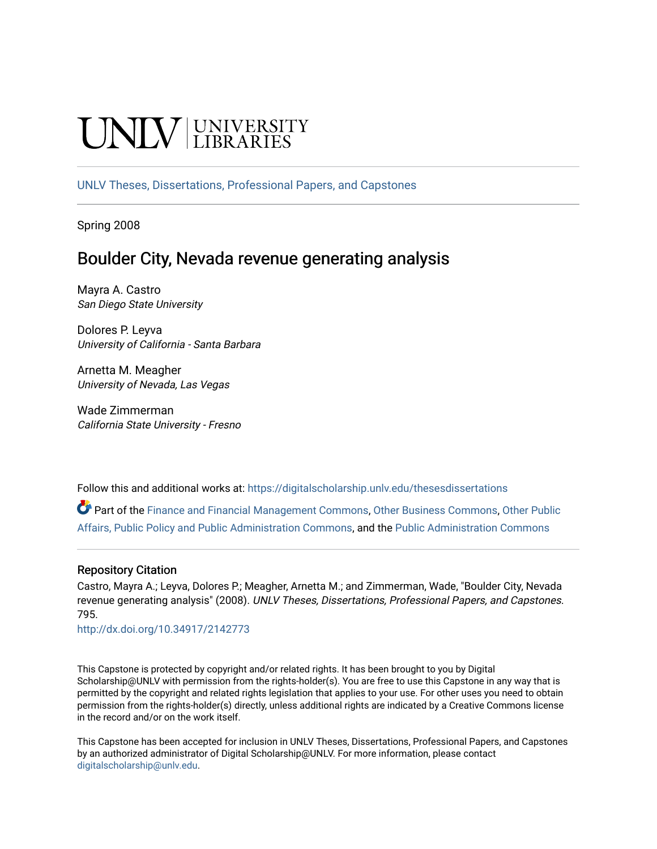# NIV UNIVERSITY

[UNLV Theses, Dissertations, Professional Papers, and Capstones](https://digitalscholarship.unlv.edu/thesesdissertations)

Spring 2008

# Boulder City, Nevada revenue generating analysis

Mayra A. Castro San Diego State University

Dolores P. Leyva University of California - Santa Barbara

Arnetta M. Meagher University of Nevada, Las Vegas

Wade Zimmerman California State University - Fresno

Follow this and additional works at: [https://digitalscholarship.unlv.edu/thesesdissertations](https://digitalscholarship.unlv.edu/thesesdissertations?utm_source=digitalscholarship.unlv.edu%2Fthesesdissertations%2F795&utm_medium=PDF&utm_campaign=PDFCoverPages)

Part of the [Finance and Financial Management Commons,](http://network.bepress.com/hgg/discipline/631?utm_source=digitalscholarship.unlv.edu%2Fthesesdissertations%2F795&utm_medium=PDF&utm_campaign=PDFCoverPages) [Other Business Commons,](http://network.bepress.com/hgg/discipline/647?utm_source=digitalscholarship.unlv.edu%2Fthesesdissertations%2F795&utm_medium=PDF&utm_campaign=PDFCoverPages) [Other Public](http://network.bepress.com/hgg/discipline/403?utm_source=digitalscholarship.unlv.edu%2Fthesesdissertations%2F795&utm_medium=PDF&utm_campaign=PDFCoverPages)  [Affairs, Public Policy and Public Administration Commons](http://network.bepress.com/hgg/discipline/403?utm_source=digitalscholarship.unlv.edu%2Fthesesdissertations%2F795&utm_medium=PDF&utm_campaign=PDFCoverPages), and the [Public Administration Commons](http://network.bepress.com/hgg/discipline/398?utm_source=digitalscholarship.unlv.edu%2Fthesesdissertations%2F795&utm_medium=PDF&utm_campaign=PDFCoverPages)

### Repository Citation

Castro, Mayra A.; Leyva, Dolores P.; Meagher, Arnetta M.; and Zimmerman, Wade, "Boulder City, Nevada revenue generating analysis" (2008). UNLV Theses, Dissertations, Professional Papers, and Capstones. 795.

<http://dx.doi.org/10.34917/2142773>

This Capstone is protected by copyright and/or related rights. It has been brought to you by Digital Scholarship@UNLV with permission from the rights-holder(s). You are free to use this Capstone in any way that is permitted by the copyright and related rights legislation that applies to your use. For other uses you need to obtain permission from the rights-holder(s) directly, unless additional rights are indicated by a Creative Commons license in the record and/or on the work itself.

This Capstone has been accepted for inclusion in UNLV Theses, Dissertations, Professional Papers, and Capstones by an authorized administrator of Digital Scholarship@UNLV. For more information, please contact [digitalscholarship@unlv.edu](mailto:digitalscholarship@unlv.edu).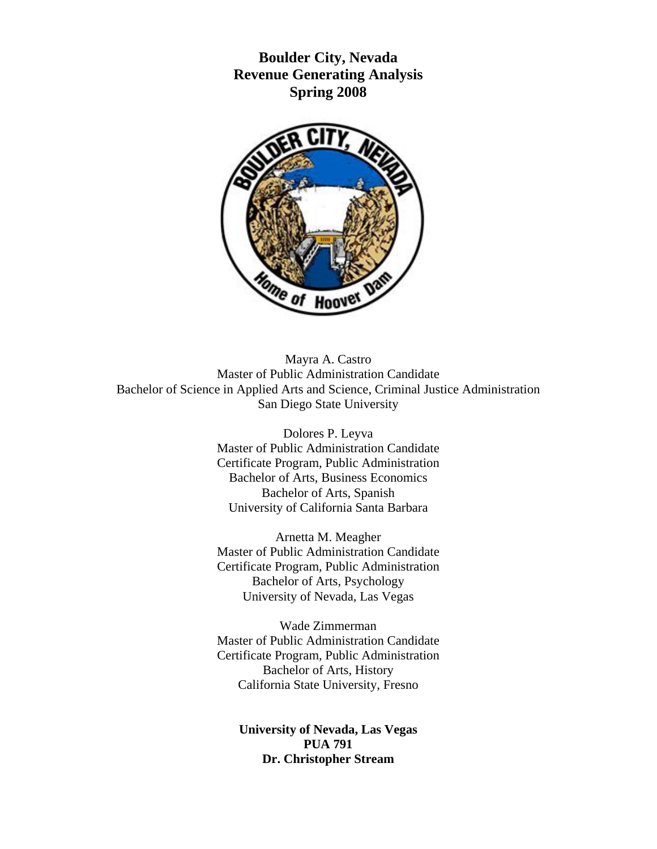**Boulder City, Nevada Revenue Generating Analysis Spring 2008**



Mayra A. Castro Master of Public Administration Candidate Bachelor of Science in Applied Arts and Science, Criminal Justice Administration San Diego State University

> Dolores P. Leyva Master of Public Administration Candidate Certificate Program, Public Administration Bachelor of Arts, Business Economics Bachelor of Arts, Spanish University of California Santa Barbara

> Arnetta M. Meagher Master of Public Administration Candidate Certificate Program, Public Administration Bachelor of Arts, Psychology University of Nevada, Las Vegas

> Wade Zimmerman Master of Public Administration Candidate Certificate Program, Public Administration Bachelor of Arts, History California State University, Fresno

**University of Nevada, Las Vegas PUA 791 Dr. Christopher Stream**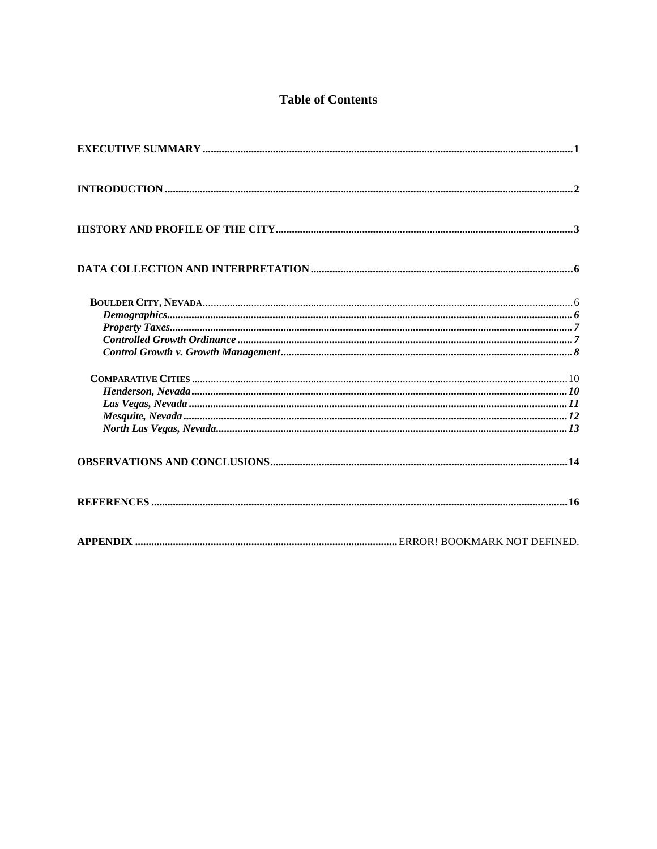# **Table of Contents**

| $COMPARATIVE CITIES 10$ |  |
|-------------------------|--|
|                         |  |
|                         |  |
|                         |  |
|                         |  |
|                         |  |
|                         |  |
|                         |  |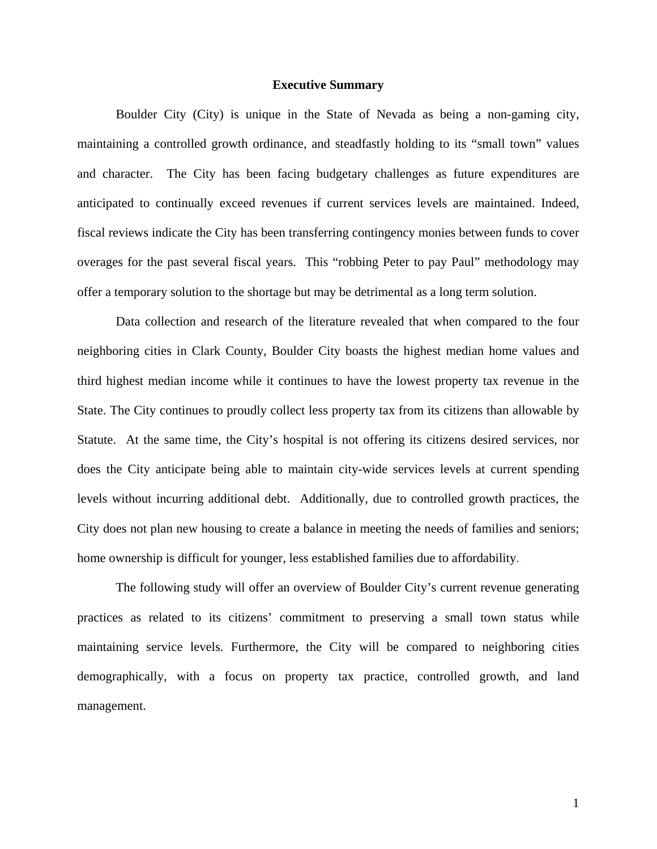#### **Executive Summary**

<span id="page-3-0"></span>Boulder City (City) is unique in the State of Nevada as being a non-gaming city, maintaining a controlled growth ordinance, and steadfastly holding to its "small town" values and character. The City has been facing budgetary challenges as future expenditures are anticipated to continually exceed revenues if current services levels are maintained. Indeed, fiscal reviews indicate the City has been transferring contingency monies between funds to cover overages for the past several fiscal years. This "robbing Peter to pay Paul" methodology may offer a temporary solution to the shortage but may be detrimental as a long term solution.

Data collection and research of the literature revealed that when compared to the four neighboring cities in Clark County, Boulder City boasts the highest median home values and third highest median income while it continues to have the lowest property tax revenue in the State. The City continues to proudly collect less property tax from its citizens than allowable by Statute. At the same time, the City's hospital is not offering its citizens desired services, nor does the City anticipate being able to maintain city-wide services levels at current spending levels without incurring additional debt. Additionally, due to controlled growth practices, the City does not plan new housing to create a balance in meeting the needs of families and seniors; home ownership is difficult for younger, less established families due to affordability.

The following study will offer an overview of Boulder City's current revenue generating practices as related to its citizens' commitment to preserving a small town status while maintaining service levels. Furthermore, the City will be compared to neighboring cities demographically, with a focus on property tax practice, controlled growth, and land management.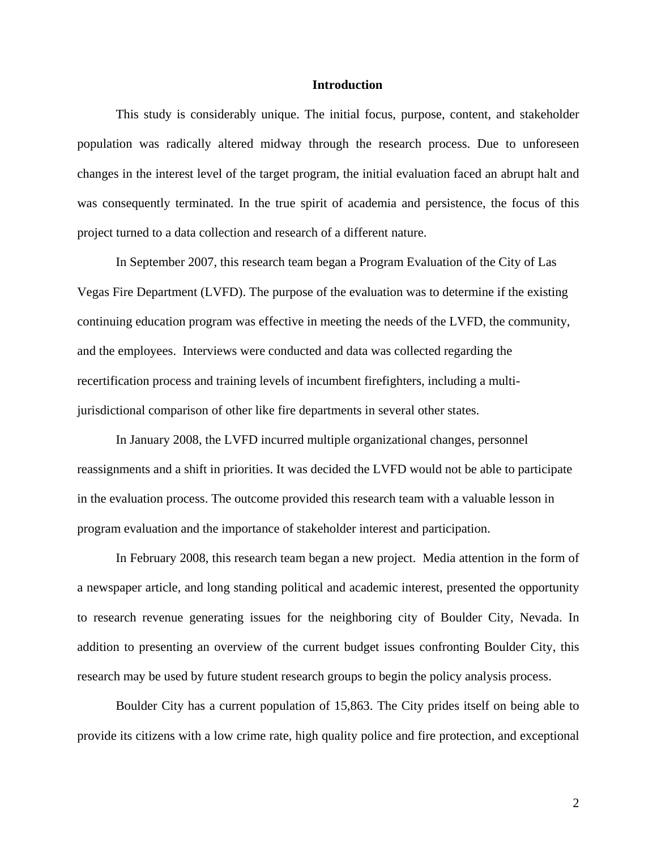#### **Introduction**

<span id="page-4-0"></span>This study is considerably unique. The initial focus, purpose, content, and stakeholder population was radically altered midway through the research process. Due to unforeseen changes in the interest level of the target program, the initial evaluation faced an abrupt halt and was consequently terminated. In the true spirit of academia and persistence, the focus of this project turned to a data collection and research of a different nature.

In September 2007, this research team began a Program Evaluation of the City of Las Vegas Fire Department (LVFD). The purpose of the evaluation was to determine if the existing continuing education program was effective in meeting the needs of the LVFD, the community, and the employees. Interviews were conducted and data was collected regarding the recertification process and training levels of incumbent firefighters, including a multijurisdictional comparison of other like fire departments in several other states.

In January 2008, the LVFD incurred multiple organizational changes, personnel reassignments and a shift in priorities. It was decided the LVFD would not be able to participate in the evaluation process. The outcome provided this research team with a valuable lesson in program evaluation and the importance of stakeholder interest and participation.

In February 2008, this research team began a new project. Media attention in the form of a newspaper article, and long standing political and academic interest, presented the opportunity to research revenue generating issues for the neighboring city of Boulder City, Nevada. In addition to presenting an overview of the current budget issues confronting Boulder City, this research may be used by future student research groups to begin the policy analysis process.

Boulder City has a current population of 15,863. The City prides itself on being able to provide its citizens with a low crime rate, high quality police and fire protection, and exceptional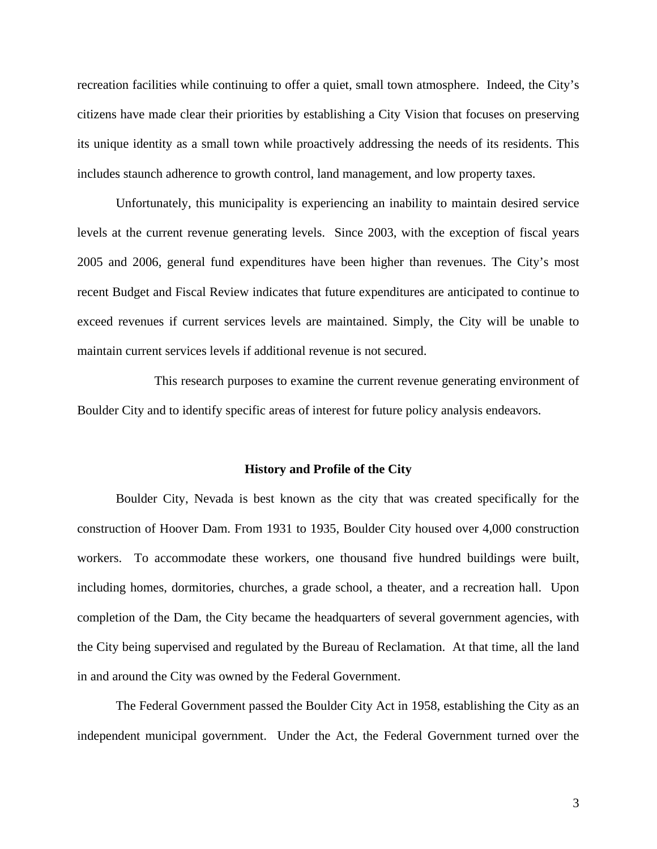recreation facilities while continuing to offer a quiet, small town atmosphere. Indeed, the City's citizens have made clear their priorities by establishing a City Vision that focuses on preserving its unique identity as a small town while proactively addressing the needs of its residents. This includes staunch adherence to growth control, land management, and low property taxes.

Unfortunately, this municipality is experiencing an inability to maintain desired service levels at the current revenue generating levels. Since 2003, with the exception of fiscal years 2005 and 2006, general fund expenditures have been higher than revenues. The City's most recent Budget and Fiscal Review indicates that future expenditures are anticipated to continue to exceed revenues if current services levels are maintained. Simply, the City will be unable to maintain current services levels if additional revenue is not secured.

This research purposes to examine the current revenue generating environment of Boulder City and to identify specific areas of interest for future policy analysis endeavors.

#### <span id="page-5-0"></span>**History and Profile of the City**

Boulder City, Nevada is best known as the city that was created specifically for the construction of Hoover Dam. From 1931 to 1935, Boulder City housed over 4,000 construction workers. To accommodate these workers, one thousand five hundred buildings were built, including homes, dormitories, churches, a grade school, a theater, and a recreation hall. Upon completion of the Dam, the City became the headquarters of several government agencies, with the City being supervised and regulated by the Bureau of Reclamation. At that time, all the land in and around the City was owned by the Federal Government.

The Federal Government passed the Boulder City Act in 1958, establishing the City as an independent municipal government. Under the Act, the Federal Government turned over the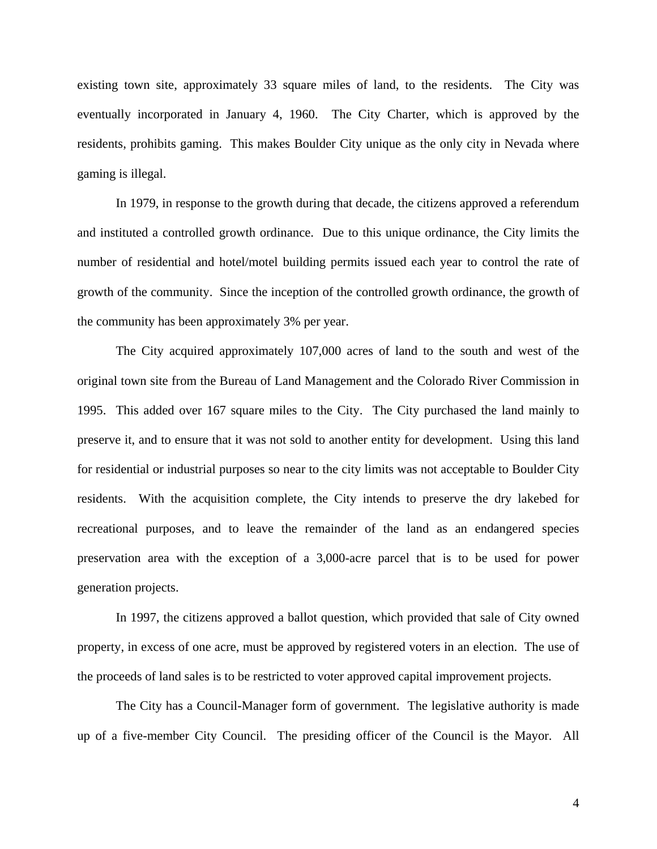existing town site, approximately 33 square miles of land, to the residents. The City was eventually incorporated in January 4, 1960. The City Charter, which is approved by the residents, prohibits gaming. This makes Boulder City unique as the only city in Nevada where gaming is illegal.

In 1979, in response to the growth during that decade, the citizens approved a referendum and instituted a controlled growth ordinance. Due to this unique ordinance, the City limits the number of residential and hotel/motel building permits issued each year to control the rate of growth of the community. Since the inception of the controlled growth ordinance, the growth of the community has been approximately 3% per year.

The City acquired approximately 107,000 acres of land to the south and west of the original town site from the Bureau of Land Management and the Colorado River Commission in 1995. This added over 167 square miles to the City. The City purchased the land mainly to preserve it, and to ensure that it was not sold to another entity for development. Using this land for residential or industrial purposes so near to the city limits was not acceptable to Boulder City residents. With the acquisition complete, the City intends to preserve the dry lakebed for recreational purposes, and to leave the remainder of the land as an endangered species preservation area with the exception of a 3,000-acre parcel that is to be used for power generation projects.

In 1997, the citizens approved a ballot question, which provided that sale of City owned property, in excess of one acre, must be approved by registered voters in an election. The use of the proceeds of land sales is to be restricted to voter approved capital improvement projects.

The City has a Council-Manager form of government. The legislative authority is made up of a five-member City Council. The presiding officer of the Council is the Mayor. All

4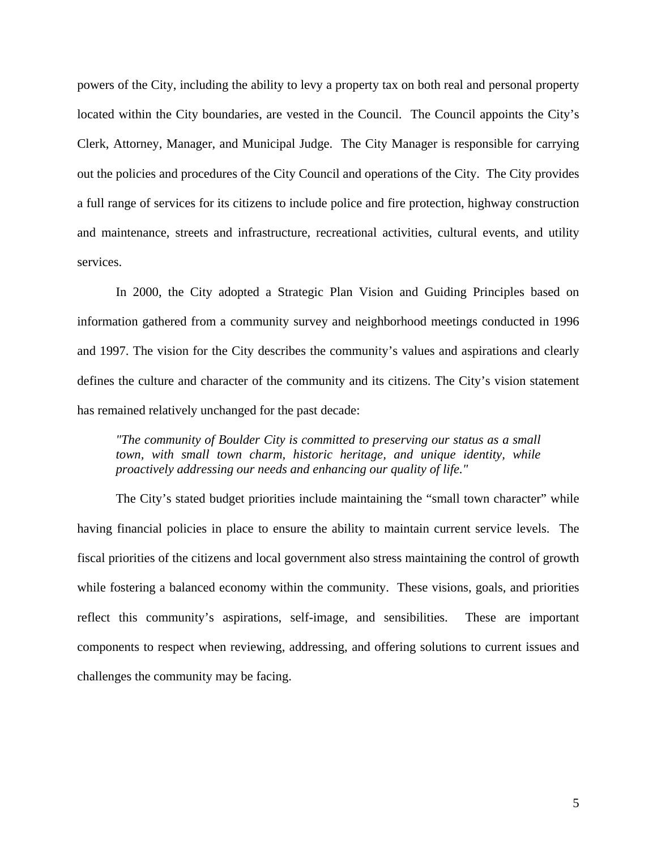powers of the City, including the ability to levy a property tax on both real and personal property located within the City boundaries, are vested in the Council. The Council appoints the City's Clerk, Attorney, Manager, and Municipal Judge. The City Manager is responsible for carrying out the policies and procedures of the City Council and operations of the City. The City provides a full range of services for its citizens to include police and fire protection, highway construction and maintenance, streets and infrastructure, recreational activities, cultural events, and utility services.

In 2000, the City adopted a Strategic Plan Vision and Guiding Principles based on information gathered from a community survey and neighborhood meetings conducted in 1996 and 1997. The vision for the City describes the community's values and aspirations and clearly defines the culture and character of the community and its citizens. The City's vision statement has remained relatively unchanged for the past decade:

*"The community of Boulder City is committed to preserving our status as a small town, with small town charm, historic heritage, and unique identity, while proactively addressing our needs and enhancing our quality of life."*

The City's stated budget priorities include maintaining the "small town character" while having financial policies in place to ensure the ability to maintain current service levels. The fiscal priorities of the citizens and local government also stress maintaining the control of growth while fostering a balanced economy within the community. These visions, goals, and priorities reflect this community's aspirations, self-image, and sensibilities. These are important components to respect when reviewing, addressing, and offering solutions to current issues and challenges the community may be facing.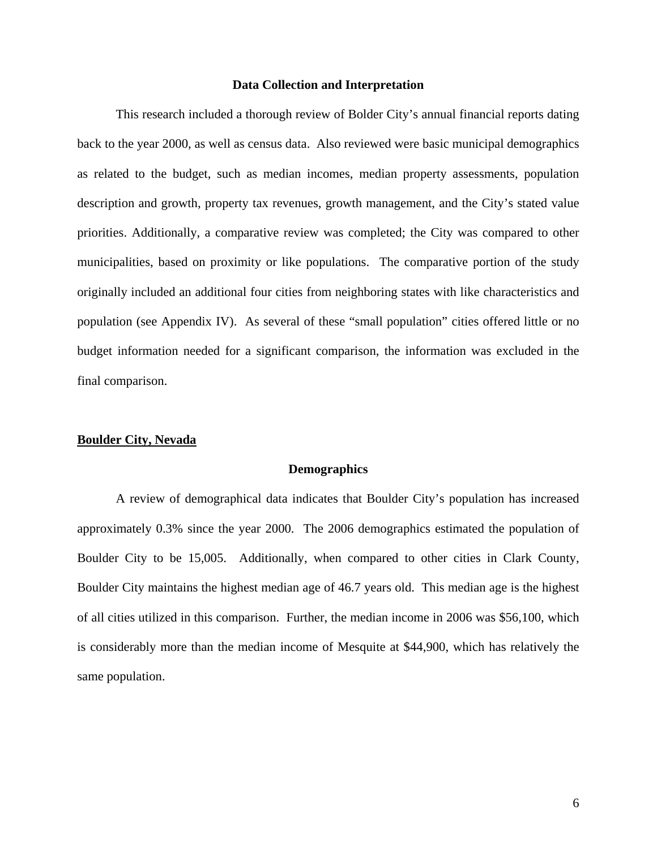#### **Data Collection and Interpretation**

<span id="page-8-0"></span>This research included a thorough review of Bolder City's annual financial reports dating back to the year 2000, as well as census data. Also reviewed were basic municipal demographics as related to the budget, such as median incomes, median property assessments, population description and growth, property tax revenues, growth management, and the City's stated value priorities. Additionally, a comparative review was completed; the City was compared to other municipalities, based on proximity or like populations. The comparative portion of the study originally included an additional four cities from neighboring states with like characteristics and population (see Appendix IV). As several of these "small population" cities offered little or no budget information needed for a significant comparison, the information was excluded in the final comparison.

#### <span id="page-8-2"></span><span id="page-8-1"></span>**Boulder City, Nevada**

#### **Demographics**

A review of demographical data indicates that Boulder City's population has increased approximately 0.3% since the year 2000. The 2006 demographics estimated the population of Boulder City to be 15,005. Additionally, when compared to other cities in Clark County, Boulder City maintains the highest median age of 46.7 years old. This median age is the highest of all cities utilized in this comparison. Further, the median income in 2006 was \$56,100, which is considerably more than the median income of Mesquite at \$44,900, which has relatively the same population.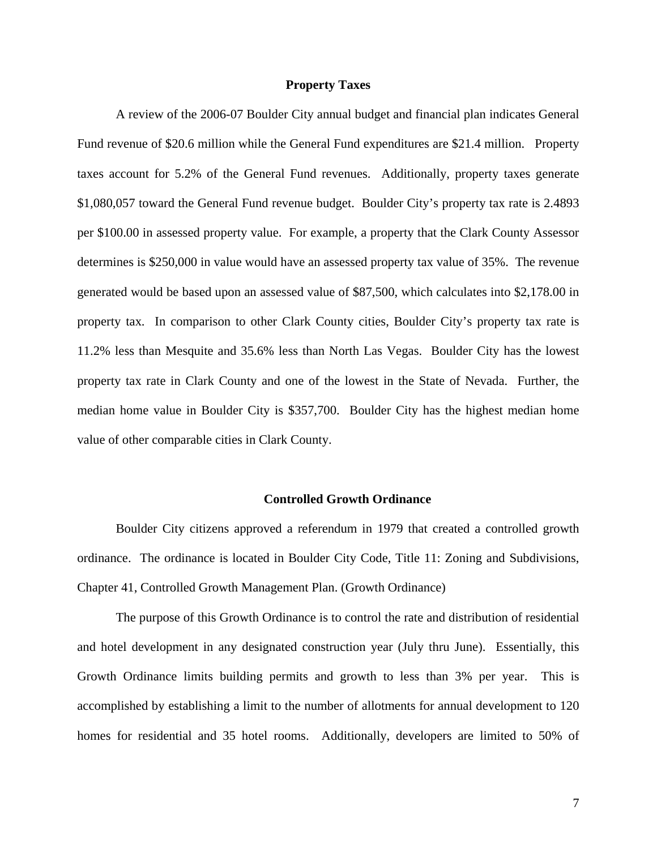#### **Property Taxes**

<span id="page-9-0"></span>A review of the 2006-07 Boulder City annual budget and financial plan indicates General Fund revenue of \$20.6 million while the General Fund expenditures are \$21.4 million. Property taxes account for 5.2% of the General Fund revenues. Additionally, property taxes generate \$1,080,057 toward the General Fund revenue budget. Boulder City's property tax rate is 2.4893 per \$100.00 in assessed property value. For example, a property that the Clark County Assessor determines is \$250,000 in value would have an assessed property tax value of 35%. The revenue generated would be based upon an assessed value of \$87,500, which calculates into \$2,178.00 in property tax. In comparison to other Clark County cities, Boulder City's property tax rate is 11.2% less than Mesquite and 35.6% less than North Las Vegas. Boulder City has the lowest property tax rate in Clark County and one of the lowest in the State of Nevada. Further, the median home value in Boulder City is \$357,700. Boulder City has the highest median home value of other comparable cities in Clark County.

#### **Controlled Growth Ordinance**

<span id="page-9-1"></span>Boulder City citizens approved a referendum in 1979 that created a controlled growth ordinance. The ordinance is located in Boulder City Code, Title 11: Zoning and Subdivisions, Chapter 41, Controlled Growth Management Plan. (Growth Ordinance)

The purpose of this Growth Ordinance is to control the rate and distribution of residential and hotel development in any designated construction year (July thru June). Essentially, this Growth Ordinance limits building permits and growth to less than 3% per year. This is accomplished by establishing a limit to the number of allotments for annual development to 120 homes for residential and 35 hotel rooms. Additionally, developers are limited to 50% of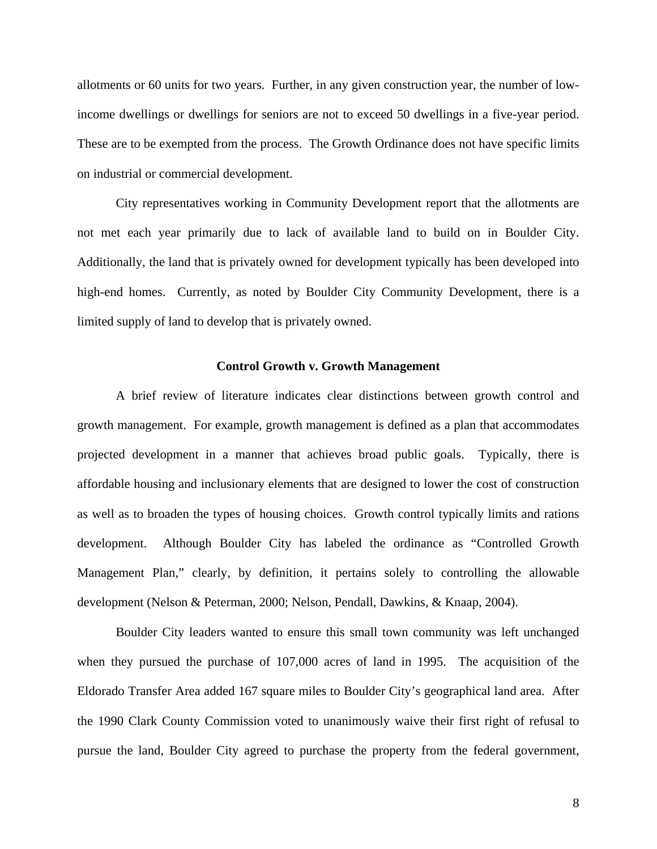allotments or 60 units for two years. Further, in any given construction year, the number of lowincome dwellings or dwellings for seniors are not to exceed 50 dwellings in a five-year period. These are to be exempted from the process. The Growth Ordinance does not have specific limits on industrial or commercial development.

City representatives working in Community Development report that the allotments are not met each year primarily due to lack of available land to build on in Boulder City. Additionally, the land that is privately owned for development typically has been developed into high-end homes. Currently, as noted by Boulder City Community Development, there is a limited supply of land to develop that is privately owned.

#### **Control Growth v. Growth Management**

<span id="page-10-0"></span>A brief review of literature indicates clear distinctions between growth control and growth management. For example, growth management is defined as a plan that accommodates projected development in a manner that achieves broad public goals. Typically, there is affordable housing and inclusionary elements that are designed to lower the cost of construction as well as to broaden the types of housing choices. Growth control typically limits and rations development. Although Boulder City has labeled the ordinance as "Controlled Growth Management Plan," clearly, by definition, it pertains solely to controlling the allowable development (Nelson & Peterman, 2000; Nelson, Pendall, Dawkins, & Knaap, 2004).

Boulder City leaders wanted to ensure this small town community was left unchanged when they pursued the purchase of 107,000 acres of land in 1995. The acquisition of the Eldorado Transfer Area added 167 square miles to Boulder City's geographical land area. After the 1990 Clark County Commission voted to unanimously waive their first right of refusal to pursue the land, Boulder City agreed to purchase the property from the federal government,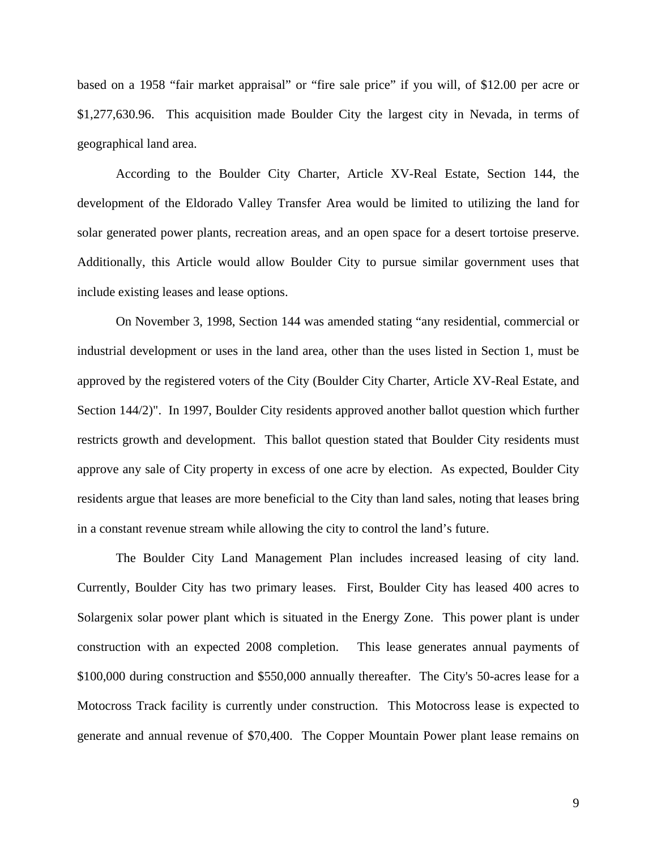based on a 1958 "fair market appraisal" or "fire sale price" if you will, of \$12.00 per acre or \$1,277,630.96. This acquisition made Boulder City the largest city in Nevada, in terms of geographical land area.

According to the Boulder City Charter, Article XV-Real Estate, Section 144, the development of the Eldorado Valley Transfer Area would be limited to utilizing the land for solar generated power plants, recreation areas, and an open space for a desert tortoise preserve. Additionally, this Article would allow Boulder City to pursue similar government uses that include existing leases and lease options.

On November 3, 1998, Section 144 was amended stating "any residential, commercial or industrial development or uses in the land area, other than the uses listed in Section 1, must be approved by the registered voters of the City (Boulder City Charter, Article XV-Real Estate, and Section 144/2)". In 1997, Boulder City residents approved another ballot question which further restricts growth and development. This ballot question stated that Boulder City residents must approve any sale of City property in excess of one acre by election. As expected, Boulder City residents argue that leases are more beneficial to the City than land sales, noting that leases bring in a constant revenue stream while allowing the city to control the land's future.

The Boulder City Land Management Plan includes increased leasing of city land. Currently, Boulder City has two primary leases. First, Boulder City has leased 400 acres to Solargenix solar power plant which is situated in the Energy Zone. This power plant is under construction with an expected 2008 completion. This lease generates annual payments of \$100,000 during construction and \$550,000 annually thereafter. The City's 50-acres lease for a Motocross Track facility is currently under construction. This Motocross lease is expected to generate and annual revenue of \$70,400. The Copper Mountain Power plant lease remains on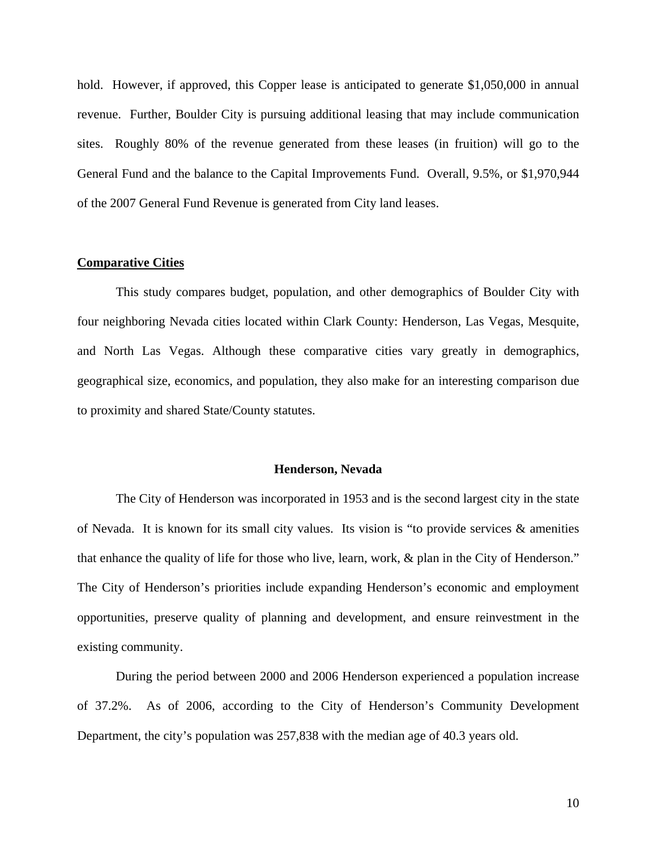hold. However, if approved, this Copper lease is anticipated to generate \$1,050,000 in annual revenue. Further, Boulder City is pursuing additional leasing that may include communication sites. Roughly 80% of the revenue generated from these leases (in fruition) will go to the General Fund and the balance to the Capital Improvements Fund. Overall, 9.5%, or \$1,970,944 of the 2007 General Fund Revenue is generated from City land leases.

#### <span id="page-12-0"></span>**Comparative Cities**

This study compares budget, population, and other demographics of Boulder City with four neighboring Nevada cities located within Clark County: Henderson, Las Vegas, Mesquite, and North Las Vegas. Although these comparative cities vary greatly in demographics, geographical size, economics, and population, they also make for an interesting comparison due to proximity and shared State/County statutes.

#### **Henderson, Nevada**

<span id="page-12-1"></span>The City of Henderson was incorporated in 1953 and is the second largest city in the state of Nevada. It is known for its small city values. Its vision is "to provide services  $\&$  amenities that enhance the quality of life for those who live, learn, work, & plan in the City of Henderson." The City of Henderson's priorities include expanding Henderson's economic and employment opportunities, preserve quality of planning and development, and ensure reinvestment in the existing community.

During the period between 2000 and 2006 Henderson experienced a population increase of 37.2%. As of 2006, according to the City of Henderson's Community Development Department, the city's population was 257,838 with the median age of 40.3 years old.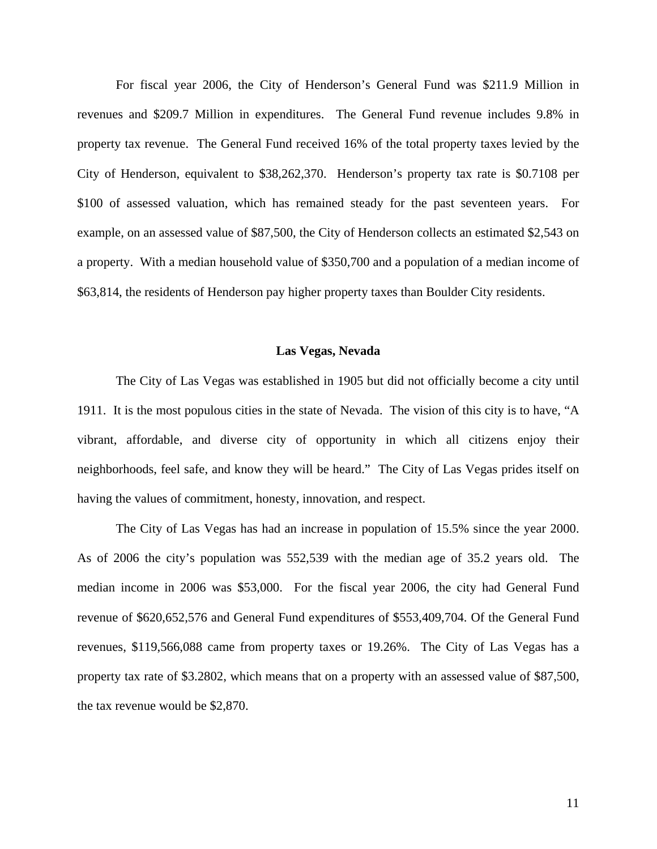For fiscal year 2006, the City of Henderson's General Fund was \$211.9 Million in revenues and \$209.7 Million in expenditures. The General Fund revenue includes 9.8% in property tax revenue. The General Fund received 16% of the total property taxes levied by the City of Henderson, equivalent to \$38,262,370. Henderson's property tax rate is \$0.7108 per \$100 of assessed valuation, which has remained steady for the past seventeen years. For example, on an assessed value of \$87,500, the City of Henderson collects an estimated \$2,543 on a property. With a median household value of \$350,700 and a population of a median income of \$63,814, the residents of Henderson pay higher property taxes than Boulder City residents.

#### **Las Vegas, Nevada**

<span id="page-13-0"></span>The City of Las Vegas was established in 1905 but did not officially become a city until 1911. It is the most populous cities in the state of Nevada. The vision of this city is to have, "A vibrant, affordable, and diverse city of opportunity in which all citizens enjoy their neighborhoods, feel safe, and know they will be heard." The City of Las Vegas prides itself on having the values of commitment, honesty, innovation, and respect.

The City of Las Vegas has had an increase in population of 15.5% since the year 2000. As of 2006 the city's population was 552,539 with the median age of 35.2 years old. The median income in 2006 was \$53,000. For the fiscal year 2006, the city had General Fund revenue of \$620,652,576 and General Fund expenditures of \$553,409,704. Of the General Fund revenues, \$119,566,088 came from property taxes or 19.26%. The City of Las Vegas has a property tax rate of \$3.2802, which means that on a property with an assessed value of \$87,500, the tax revenue would be \$2,870.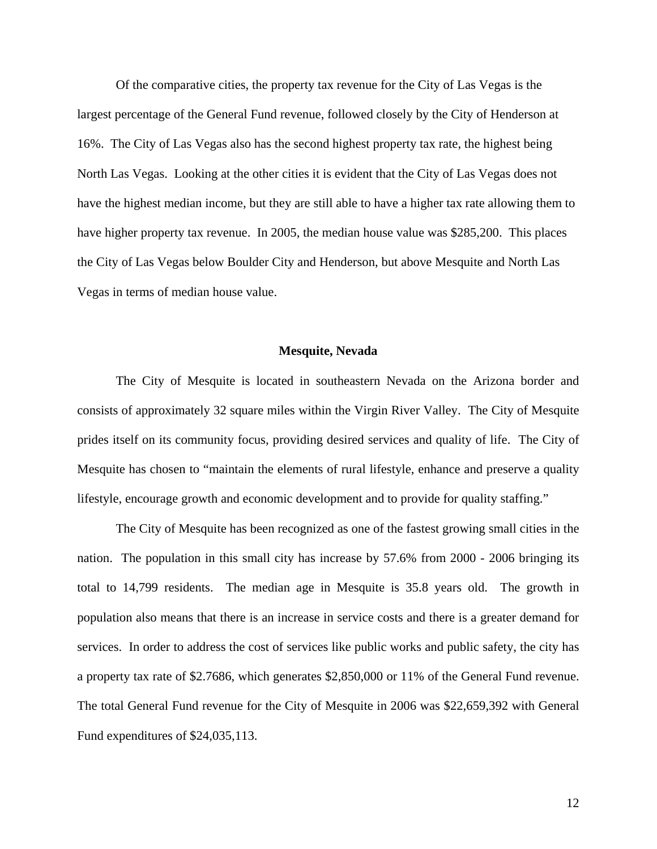Of the comparative cities, the property tax revenue for the City of Las Vegas is the largest percentage of the General Fund revenue, followed closely by the City of Henderson at 16%. The City of Las Vegas also has the second highest property tax rate, the highest being North Las Vegas. Looking at the other cities it is evident that the City of Las Vegas does not have the highest median income, but they are still able to have a higher tax rate allowing them to have higher property tax revenue. In 2005, the median house value was \$285,200. This places the City of Las Vegas below Boulder City and Henderson, but above Mesquite and North Las Vegas in terms of median house value.

#### **Mesquite, Nevada**

<span id="page-14-0"></span>The City of Mesquite is located in southeastern Nevada on the Arizona border and consists of approximately 32 square miles within the Virgin River Valley. The City of Mesquite prides itself on its community focus, providing desired services and quality of life. The City of Mesquite has chosen to "maintain the elements of rural lifestyle, enhance and preserve a quality lifestyle, encourage growth and economic development and to provide for quality staffing."

The City of Mesquite has been recognized as one of the fastest growing small cities in the nation. The population in this small city has increase by 57.6% from 2000 - 2006 bringing its total to 14,799 residents. The median age in Mesquite is 35.8 years old. The growth in population also means that there is an increase in service costs and there is a greater demand for services. In order to address the cost of services like public works and public safety, the city has a property tax rate of \$2.7686, which generates \$2,850,000 or 11% of the General Fund revenue. The total General Fund revenue for the City of Mesquite in 2006 was \$22,659,392 with General Fund expenditures of \$24,035,113.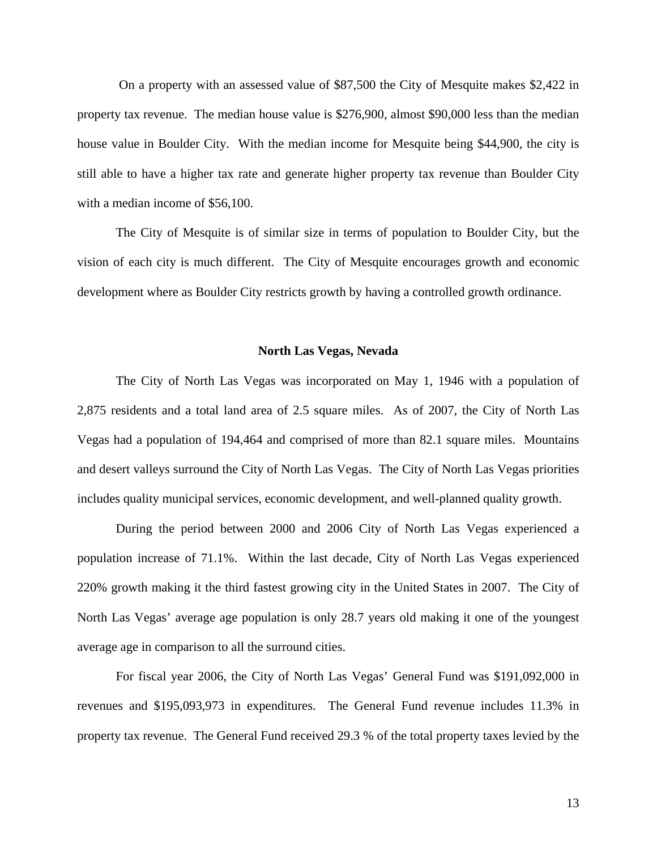On a property with an assessed value of \$87,500 the City of Mesquite makes \$2,422 in property tax revenue. The median house value is \$276,900, almost \$90,000 less than the median house value in Boulder City. With the median income for Mesquite being \$44,900, the city is still able to have a higher tax rate and generate higher property tax revenue than Boulder City with a median income of \$56,100.

The City of Mesquite is of similar size in terms of population to Boulder City, but the vision of each city is much different. The City of Mesquite encourages growth and economic development where as Boulder City restricts growth by having a controlled growth ordinance.

#### **North Las Vegas, Nevada**

<span id="page-15-0"></span>The City of North Las Vegas was incorporated on May 1, 1946 with a population of 2,875 residents and a total land area of 2.5 square miles. As of 2007, the City of North Las Vegas had a population of 194,464 and comprised of more than 82.1 square miles. Mountains and desert valleys surround the City of North Las Vegas. The City of North Las Vegas priorities includes quality municipal services, economic development, and well-planned quality growth.

During the period between 2000 and 2006 City of North Las Vegas experienced a population increase of 71.1%. Within the last decade, City of North Las Vegas experienced 220% growth making it the third fastest growing city in the United States in 2007. The City of North Las Vegas' average age population is only 28.7 years old making it one of the youngest average age in comparison to all the surround cities.

For fiscal year 2006, the City of North Las Vegas' General Fund was \$191,092,000 in revenues and \$195,093,973 in expenditures. The General Fund revenue includes 11.3% in property tax revenue. The General Fund received 29.3 % of the total property taxes levied by the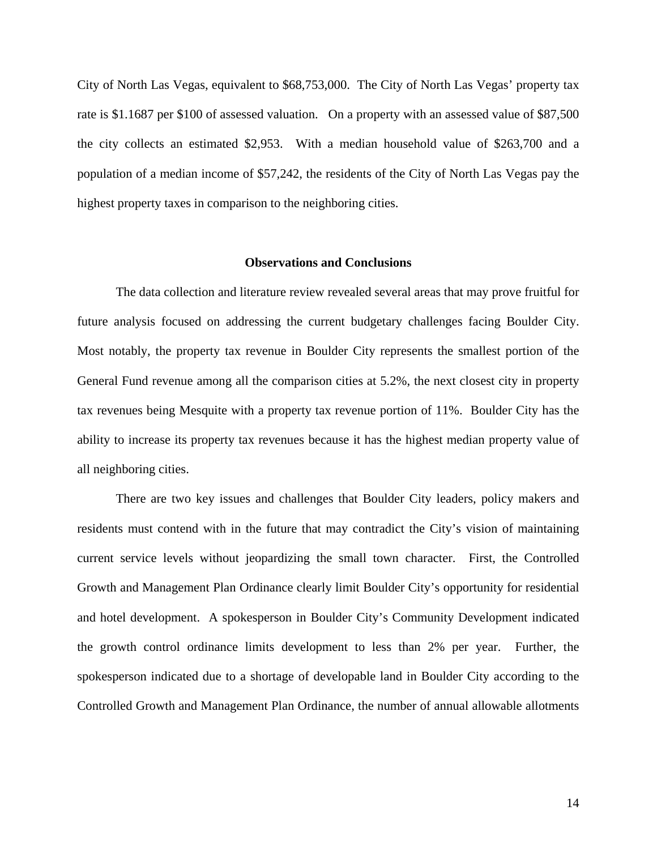City of North Las Vegas, equivalent to \$68,753,000. The City of North Las Vegas' property tax rate is \$1.1687 per \$100 of assessed valuation. On a property with an assessed value of \$87,500 the city collects an estimated \$2,953. With a median household value of \$263,700 and a population of a median income of \$57,242, the residents of the City of North Las Vegas pay the highest property taxes in comparison to the neighboring cities.

#### **Observations and Conclusions**

<span id="page-16-0"></span>The data collection and literature review revealed several areas that may prove fruitful for future analysis focused on addressing the current budgetary challenges facing Boulder City. Most notably, the property tax revenue in Boulder City represents the smallest portion of the General Fund revenue among all the comparison cities at 5.2%, the next closest city in property tax revenues being Mesquite with a property tax revenue portion of 11%. Boulder City has the ability to increase its property tax revenues because it has the highest median property value of all neighboring cities.

There are two key issues and challenges that Boulder City leaders, policy makers and residents must contend with in the future that may contradict the City's vision of maintaining current service levels without jeopardizing the small town character. First, the Controlled Growth and Management Plan Ordinance clearly limit Boulder City's opportunity for residential and hotel development. A spokesperson in Boulder City's Community Development indicated the growth control ordinance limits development to less than 2% per year. Further, the spokesperson indicated due to a shortage of developable land in Boulder City according to the Controlled Growth and Management Plan Ordinance, the number of annual allowable allotments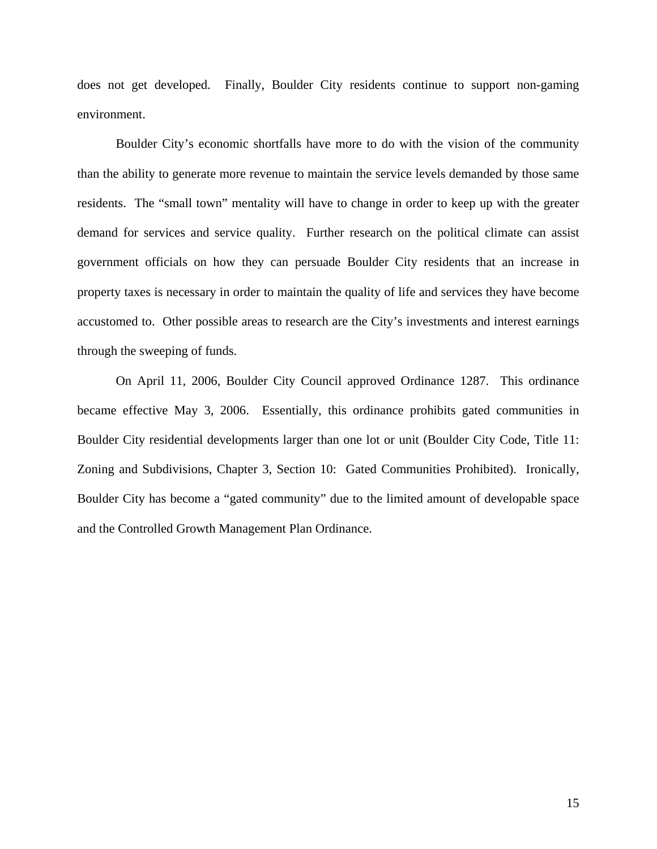does not get developed. Finally, Boulder City residents continue to support non-gaming environment.

Boulder City's economic shortfalls have more to do with the vision of the community than the ability to generate more revenue to maintain the service levels demanded by those same residents. The "small town" mentality will have to change in order to keep up with the greater demand for services and service quality. Further research on the political climate can assist government officials on how they can persuade Boulder City residents that an increase in property taxes is necessary in order to maintain the quality of life and services they have become accustomed to. Other possible areas to research are the City's investments and interest earnings through the sweeping of funds.

<span id="page-17-0"></span>On April 11, 2006, Boulder City Council approved Ordinance 1287. This ordinance became effective May 3, 2006. Essentially, this ordinance prohibits gated communities in Boulder City residential developments larger than one lot or unit (Boulder City Code, Title 11: Zoning and Subdivisions, Chapter 3, Section 10: Gated Communities Prohibited). Ironically, Boulder City has become a "gated community" due to the limited amount of developable space and the Controlled Growth Management Plan Ordinance.